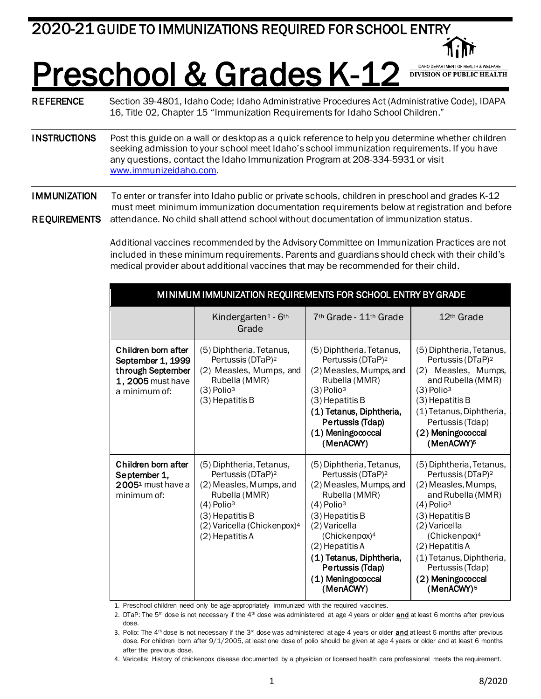## **Preschool & Grades K-12** DANCO DEPARTMENT OF HEALTH BUTCH TEALTH<br>REFERENCE Section 39-4801, Idaho Code; Idaho Administrative Procedures Act (Administrative Code), IDAPA

16, Title 02, Chapter 15 "Immunization Requirements for Idaho School Children."

INSTRUCTIONS Post this guide on a wall or desktop as a quick reference to help you determine whether children seeking admission to your school meet Idaho's school immunization requirements. If you have any questions, contact the Idaho Immunization Program at 208-334-5931 or visit [www.immunizeidaho.com.](http://www.immunizeidaho.com/)

IMMUNIZATION To enter or transfer into Idaho public or private schools, children in preschool and grades K-12 must meet minimum immunization documentation requirements below at registration and before REQUIREMENTS attendance. No child shall attend school without documentation of immunization status.

> Additional vaccines recommended by the Advisory Committee on Immunization Practices are not included in these minimum requirements. Parents and guardians should check with their child's medical provider about additional vaccines that may be recommended for their child.

| MINIMUM IMMUNIZATION REQUIREMENTS FOR SCHOOL ENTRY BY GRADE                                         |                                                                                                                                                                                                                    |                                                                                                                                                                                                                                                                                                         |                                                                                                                                                                                                                                                                                                                        |  |  |  |  |
|-----------------------------------------------------------------------------------------------------|--------------------------------------------------------------------------------------------------------------------------------------------------------------------------------------------------------------------|---------------------------------------------------------------------------------------------------------------------------------------------------------------------------------------------------------------------------------------------------------------------------------------------------------|------------------------------------------------------------------------------------------------------------------------------------------------------------------------------------------------------------------------------------------------------------------------------------------------------------------------|--|--|--|--|
|                                                                                                     | Kindergarten <sup>1</sup> - 6 <sup>th</sup><br>Grade                                                                                                                                                               | 7 <sup>th</sup> Grade - 11 <sup>th</sup> Grade                                                                                                                                                                                                                                                          | 12 <sup>th</sup> Grade                                                                                                                                                                                                                                                                                                 |  |  |  |  |
| Children born after<br>September 1, 1999<br>through September<br>1, 2005 must have<br>a minimum of: | (5) Diphtheria, Tetanus,<br>Pertussis (DTaP) <sup>2</sup><br>(2) Measles, Mumps, and<br>Rubella (MMR)<br>$(3)$ Polio <sup>3</sup><br>(3) Hepatitis B                                                               | (5) Diphtheria, Tetanus,<br>Pertussis (DTaP) <sup>2</sup><br>(2) Measles, Mumps, and<br>Rubella (MMR)<br>$(3)$ Polio <sup>3</sup><br>(3) Hepatitis B<br>(1) Tetanus, Diphtheria,<br>Pertussis (Tdap)<br>(1) Meningococcal<br>(MenACWY)                                                                  | (5) Diphtheria, Tetanus,<br>Pertussis (DTaP) <sup>2</sup><br>Measles, Mumps,<br>(2)<br>and Rubella (MMR)<br>$(3)$ Polio <sup>3</sup><br>(3) Hepatitis B<br>(1) Tetanus, Diphtheria,<br>Pertussis (Tdap)<br>(2) Meningococcal<br>(MenACWY) <sup>5</sup>                                                                 |  |  |  |  |
| Children born after<br>September 1,<br>2005 <sup>1</sup> must have a<br>minimum of:                 | (5) Diphtheria, Tetanus,<br>Pertussis (DTaP) <sup>2</sup><br>(2) Measles, Mumps, and<br>Rubella (MMR)<br>$(4)$ Polio <sup>3</sup><br>(3) Hepatitis B<br>(2) Varicella (Chickenpox) <sup>4</sup><br>(2) Hepatitis A | (5) Diphtheria, Tetanus,<br>Pertussis (DTaP) <sup>2</sup><br>(2) Measles, Mumps, and<br>Rubella (MMR)<br>$(4)$ Polio <sup>3</sup><br>(3) Hepatitis B<br>(2) Varicella<br>(Chickenpox) <sup>4</sup><br>(2) Hepatitis A<br>(1) Tetanus, Diphtheria,<br>Pertussis (Tdap)<br>(1) Meningococcal<br>(MenACWY) | (5) Diphtheria, Tetanus,<br>Pertussis (DTaP) <sup>2</sup><br>(2) Measles, Mumps,<br>and Rubella (MMR)<br>$(4)$ Polio <sup>3</sup><br>$(3)$ Hepatitis B<br>(2) Varicella<br>(Chickenpox) <sup>4</sup><br>(2) Hepatitis A<br>(1) Tetanus, Diphtheria,<br>Pertussis (Tdap)<br>(2) Meningococcal<br>(MenACWY) <sup>5</sup> |  |  |  |  |

1. Preschool children need only be age-appropriately immunized with the required vaccines.

2. DTaP: The 5<sup>th</sup> dose is not necessary if the 4<sup>th</sup> dose was administered at age 4 years or older **and** at least 6 months after previous dose.

- 3. Polio: The  $4<sup>th</sup>$  dose is not necessary if the  $3<sup>rd</sup>$  dose was administered at age 4 years or older  $and$  at least 6 months after previous</u> dose. For children born after 9/1/2005, at least one dose of polio should be given at age 4 years or older and at least 6 months after the previous dose.
- 4. Varicella: History of chickenpox disease documented by a physician or licensed health care professional meets the requirement.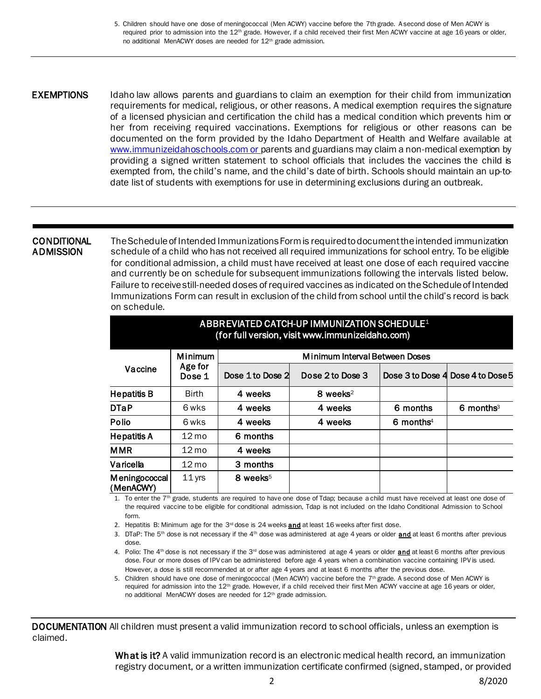5. Children should have one dose of meningococcal (Men ACWY) vaccine before the 7th grade. A second dose of Men ACWY is required prior to admission into the 12<sup>th</sup> grade. However, if a child received their first Men ACWY vaccine at age 16 years or older, no additional MenACWY doses are needed for 12th grade admission.

**EXEMPTIONS** Idaho law allows parents and guardians to claim an exemption for their child from immunization requirements for medical, religious, or other reasons. A medical exemption requires the signature of a licensed physician and certification the child has a medical condition which prevents him or her from receiving required vaccinations. Exemptions for religious or other reasons can be documented on the form provided by the Idaho Department of Health and Welfare available at [www.immunizeidahoschools.com](https://healthandwelfare.idaho.gov/Health/IdahoImmunizationProgram/SchoolandChildcare/SchoolRequirements/tabid/3785/Default.aspx) or parents and guardians may claim a non-medical exemption by providing a signed written statement to school officials that includes the vaccines the child is exempted from, the child's name, and the child's date of birth. Schools should maintain an up-todate list of students with exemptions for use in determining exclusions during an outbreak.

## **CONDITIONAL ADMISSION**

The Schedule of Intended Immunizations Form is required to document the intended immunization schedule of a child who has not received all required immunizations for school entry. To be eligible for conditional admission, a child must have received at least one dose of each required vaccine and currently be on schedule for subsequent immunizations following the intervals listed below. Failure to receive still-needed doses of required vaccines as indicated on the Schedule of Intended Immunizations Form can result in exclusion of the child from school until the child's record is back on schedule.

| ABBR EVIATED CATCH-UP IMMUNIZATION SCHEDULE <sup>1</sup><br>(for full version, visit www.immunizeidaho.com) |                                     |                                |                      |                         |                                   |  |  |  |
|-------------------------------------------------------------------------------------------------------------|-------------------------------------|--------------------------------|----------------------|-------------------------|-----------------------------------|--|--|--|
| Vaccine                                                                                                     | <b>Minimum</b><br>Age for<br>Dose 1 | Minimum Interval Between Doses |                      |                         |                                   |  |  |  |
|                                                                                                             |                                     | Dose 1 to Dose 2               | Dose 2 to Dose 3     |                         | Dose 3 to Dose 4 Dose 4 to Dose 5 |  |  |  |
| <b>Hepatitis B</b>                                                                                          | <b>Birth</b>                        | 4 weeks                        | 8 weeks <sup>2</sup> |                         |                                   |  |  |  |
| <b>DTaP</b>                                                                                                 | 6 wks                               | 4 weeks                        | 4 weeks              | 6 months                | 6 months <sup>3</sup>             |  |  |  |
| <b>Polio</b>                                                                                                | 6 wks                               | 4 weeks                        | 4 weeks              | $6$ months <sup>4</sup> |                                   |  |  |  |
| <b>Hepatitis A</b>                                                                                          | $12 \,\mathrm{mo}$                  | 6 months                       |                      |                         |                                   |  |  |  |
| <b>MMR</b>                                                                                                  | $12 \text{ mo}$                     | 4 weeks                        |                      |                         |                                   |  |  |  |
| Varicella                                                                                                   | $12 \text{ mo}$                     | 3 months                       |                      |                         |                                   |  |  |  |
| Meningococcal<br>(MenACWY)                                                                                  | $11$ yrs                            | 8 weeks <sup>5</sup>           |                      |                         |                                   |  |  |  |

1. To enter the  $7<sup>th</sup>$  grade, students are required to have one dose of Tdap; because a child must have received at least one dose of the required vaccine to be eligible for conditional admission, Tdap is not included on the Idaho Conditional Admission to School form.

2. Hepatitis B: Minimum age for the  $3<sup>rd</sup>$  dose is 24 weeks  $and$  at least 16 weeks after first dose.

3. DTaP: The 5<sup>th</sup> dose is not necessary if the  $4<sup>th</sup>$  dose was administered at age 4 years or older  $and$  at least 6 months after previous</u> dose.

4. Polio: The 4<sup>th</sup> dose is not necessary if the 3<sup>rd</sup> dose was administered at age 4 years or older  $and$  at least 6 months after previous</u> dose. Four or more doses of IPV can be administered before age 4 years when a combination vaccine containing IPV is used. However, a dose is still recommended at or after age 4 years and at least 6 months after the previous dose.

5. Children should have one dose of meningococcal (Men ACWY) vaccine before the 7<sup>th</sup> grade. A second dose of Men ACWY is required for admission into the 12<sup>th</sup> grade. However, if a child received their first Men ACWY vaccine at age 16 years or older, no additional MenACWY doses are needed for 12th grade admission.

DOCUMENTATION All children must present a valid immunization record to school officials, unless an exemption is claimed.

> What is it? A valid immunization record is an electronic medical health record, an immunization registry document, or a written immunization certificate confirmed (signed, stamped, or provided